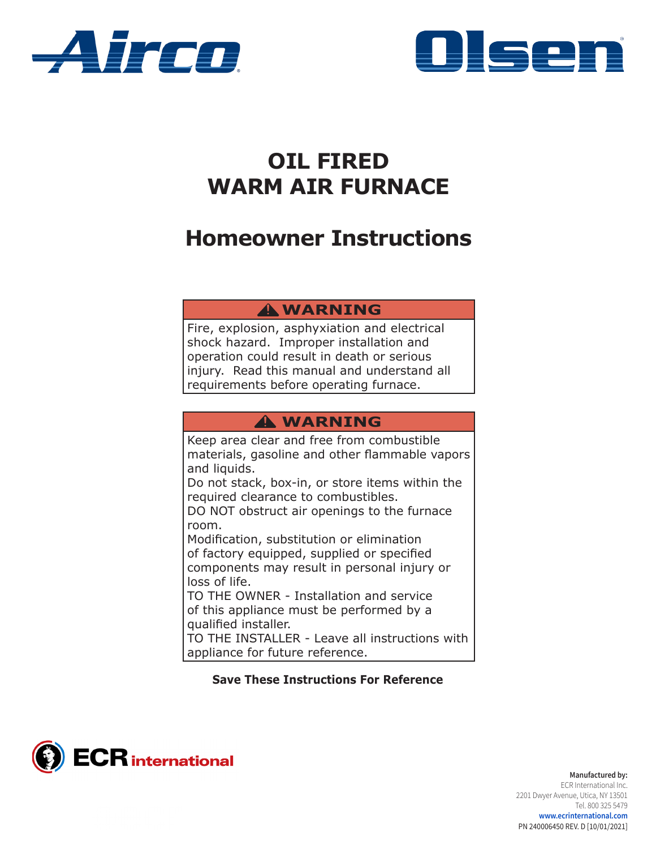



# **OIL FIRED WARM AIR FURNACE**

# **Homeowner Instructions**

## **WARNING !**

Fire, explosion, asphyxiation and electrical shock hazard. Improper installation and operation could result in death or serious injury. Read this manual and understand all requirements before operating furnace.

## **WARNING !**

Keep area clear and free from combustible materials, gasoline and other flammable vapors and liquids.

Do not stack, box-in, or store items within the required clearance to combustibles.

DO NOT obstruct air openings to the furnace room.

Modification, substitution or elimination of factory equipped, supplied or specified components may result in personal injury or loss of life.

TO THE OWNER - Installation and service of this appliance must be performed by a qualified installer.

TO THE INSTALLER - Leave all instructions with appliance for future reference.

## **Save These Instructions For Reference**



**Manufactured by:** ECR International Inc. 2201 Dwyer Avenue, Utica, NY 13501 Tel. 800 325 5479 **www.ecrinternational.com**  PN 240006450 REV. D [10/01/2021]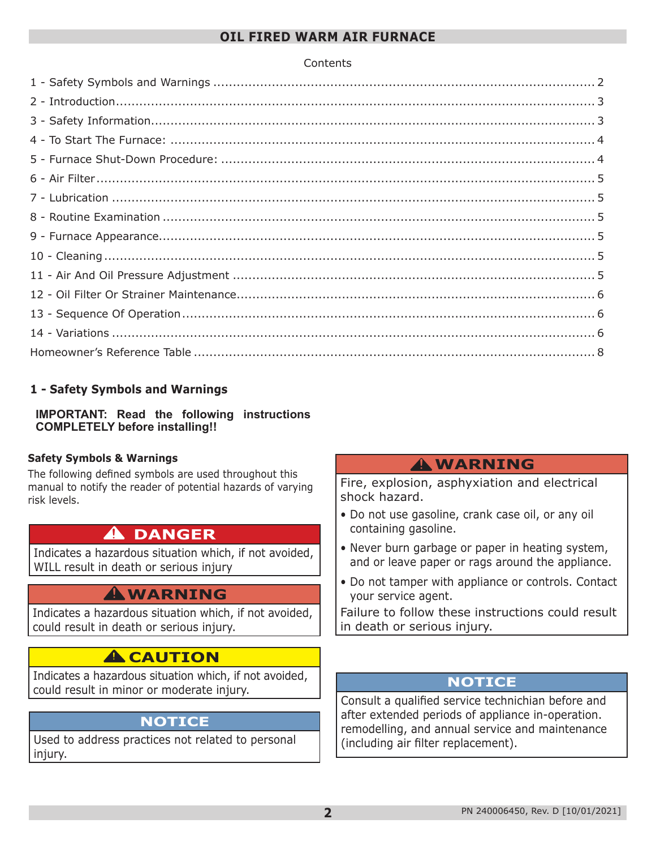#### **OIL FIRED WARM AIR FURNACE**

#### **Contents**

## **1 - Safety Symbols and Warnings**

**IMPORTANT: Read the following instructions COMPLETELY before installing!!**

#### **Safety Symbols & Warnings**

The following defined symbols are used throughout this manual to notify the reader of potential hazards of varying risk levels.

## **DANGER !**

Indicates a hazardous situation which, if not avoided, WILL result in death or serious injury

## **WARNING !**

Indicates a hazardous situation which, if not avoided, could result in death or serious injury.

## **A** CAUTION

Indicates a hazardous situation which, if not avoided, could result in minor or moderate injury.

## **NOTICE**

Used to address practices not related to personal injury.

## **WARNING !**

Fire, explosion, asphyxiation and electrical shock hazard.

- Do not use gasoline, crank case oil, or any oil containing gasoline.
- Never burn garbage or paper in heating system, and or leave paper or rags around the appliance.
- Do not tamper with appliance or controls. Contact your service agent.

Failure to follow these instructions could result in death or serious injury.

## **NOTICE**

Consult a qualified service technichian before and after extended periods of appliance in-operation. remodelling, and annual service and maintenance (including air filter replacement).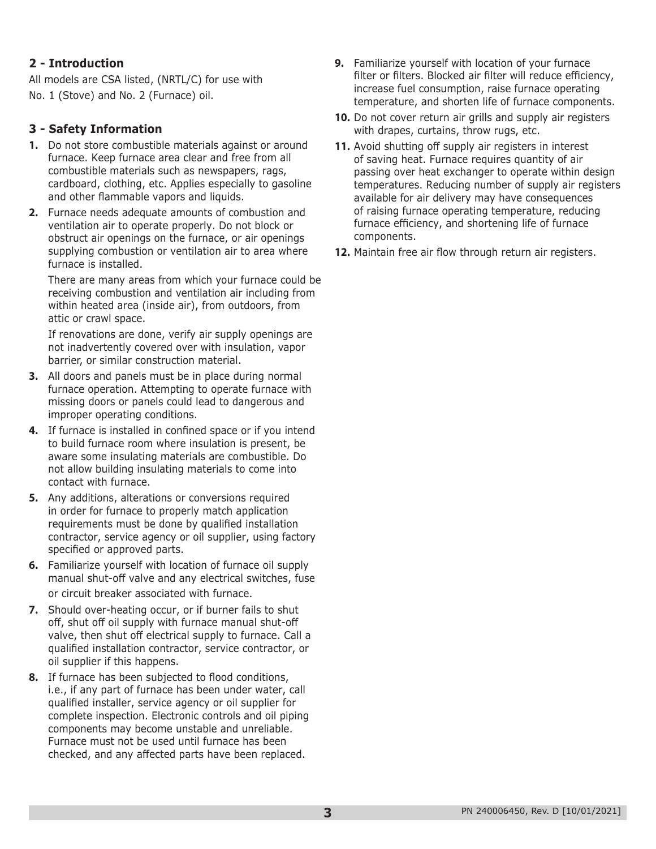## <span id="page-2-0"></span>**2 - Introduction**

All models are CSA listed, (NRTL/C) for use with No. 1 (Stove) and No. 2 (Furnace) oil.

#### **3 - Safety Information**

- **1.** Do not store combustible materials against or around furnace. Keep furnace area clear and free from all combustible materials such as newspapers, rags, cardboard, clothing, etc. Applies especially to gasoline and other flammable vapors and liquids.
- **2.** Furnace needs adequate amounts of combustion and ventilation air to operate properly. Do not block or obstruct air openings on the furnace, or air openings supplying combustion or ventilation air to area where furnace is installed.

There are many areas from which your furnace could be receiving combustion and ventilation air including from within heated area (inside air), from outdoors, from attic or crawl space.

If renovations are done, verify air supply openings are not inadvertently covered over with insulation, vapor barrier, or similar construction material.

- **3.** All doors and panels must be in place during normal furnace operation. Attempting to operate furnace with missing doors or panels could lead to dangerous and improper operating conditions.
- **4.** If furnace is installed in confined space or if you intend to build furnace room where insulation is present, be aware some insulating materials are combustible. Do not allow building insulating materials to come into contact with furnace.
- **5.** Any additions, alterations or conversions required in order for furnace to properly match application requirements must be done by qualified installation contractor, service agency or oil supplier, using factory specified or approved parts.
- **6.** Familiarize yourself with location of furnace oil supply manual shut-off valve and any electrical switches, fuse or circuit breaker associated with furnace.
- **7.** Should over-heating occur, or if burner fails to shut off, shut off oil supply with furnace manual shut-off valve, then shut off electrical supply to furnace. Call a qualified installation contractor, service contractor, or oil supplier if this happens.
- **8.** If furnace has been subjected to flood conditions, i.e., if any part of furnace has been under water, call qualified installer, service agency or oil supplier for complete inspection. Electronic controls and oil piping components may become unstable and unreliable. Furnace must not be used until furnace has been checked, and any affected parts have been replaced.
- **9.** Familiarize yourself with location of your furnace filter or filters. Blocked air filter will reduce efficiency, increase fuel consumption, raise furnace operating temperature, and shorten life of furnace components.
- **10.** Do not cover return air grills and supply air registers with drapes, curtains, throw rugs, etc.
- **11.** Avoid shutting off supply air registers in interest of saving heat. Furnace requires quantity of air passing over heat exchanger to operate within design temperatures. Reducing number of supply air registers available for air delivery may have consequences of raising furnace operating temperature, reducing furnace efficiency, and shortening life of furnace components.
- **12.** Maintain free air flow through return air registers.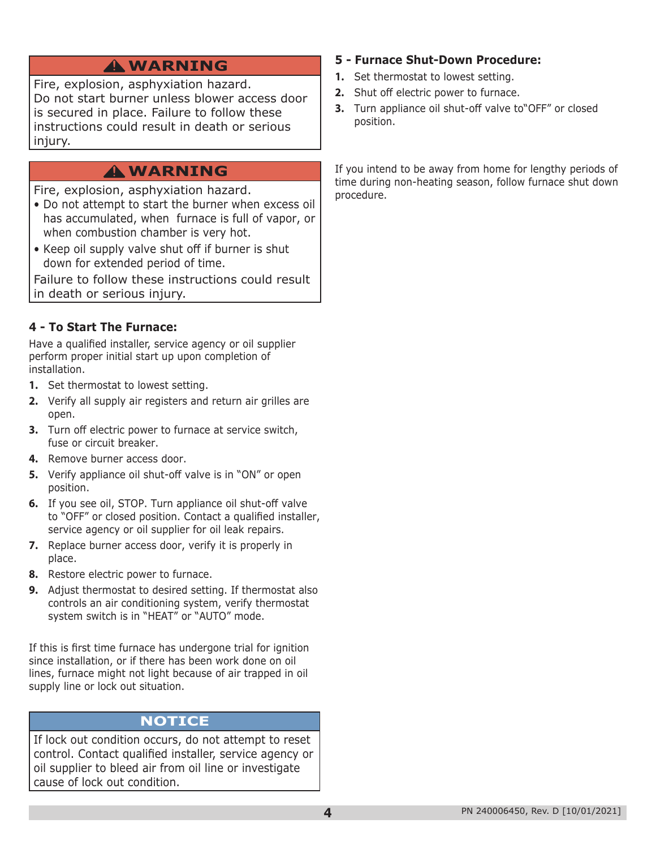<span id="page-3-0"></span>Fire, explosion, asphyxiation hazard. Do not start burner unless blower access door is secured in place. Failure to follow these instructions could result in death or serious injury.

## **WARNING !**

Fire, explosion, asphyxiation hazard.

- Do not attempt to start the burner when excess oil has accumulated, when furnace is full of vapor, or when combustion chamber is very hot.
- Keep oil supply valve shut off if burner is shut down for extended period of time.

Failure to follow these instructions could result in death or serious injury.

## **4 - To Start The Furnace:**

Have a qualified installer, service agency or oil supplier perform proper initial start up upon completion of installation.

- **1.** Set thermostat to lowest setting.
- **2.** Verify all supply air registers and return air grilles are open.
- **3.** Turn off electric power to furnace at service switch, fuse or circuit breaker.
- **4.** Remove burner access door.
- **5.** Verify appliance oil shut-off valve is in "ON" or open position.
- **6.** If you see oil, STOP. Turn appliance oil shut-off valve to "OFF" or closed position. Contact a qualified installer, service agency or oil supplier for oil leak repairs.
- **7.** Replace burner access door, verify it is properly in place.
- **8.** Restore electric power to furnace.
- **9.** Adjust thermostat to desired setting. If thermostat also controls an air conditioning system, verify thermostat system switch is in "HEAT" or "AUTO" mode.

If this is first time furnace has undergone trial for ignition since installation, or if there has been work done on oil lines, furnace might not light because of air trapped in oil supply line or lock out situation.

## **NOTICE**

If lock out condition occurs, do not attempt to reset control. Contact qualified installer, service agency or oil supplier to bleed air from oil line or investigate cause of lock out condition.

# **WARNING ! 5 - Furnace Shut-Down Procedure:**

- **1.** Set thermostat to lowest setting.
- **2.** Shut off electric power to furnace.
- **3.** Turn appliance oil shut-off valve to"OFF" or closed position.

If you intend to be away from home for lengthy periods of time during non-heating season, follow furnace shut down procedure.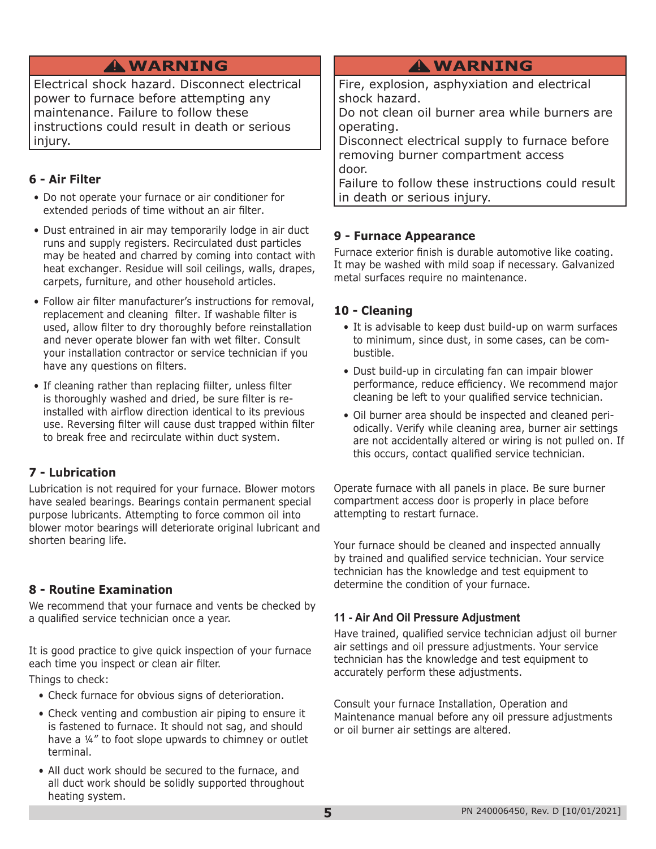## **WARNING !**

<span id="page-4-0"></span>Electrical shock hazard. Disconnect electrical power to furnace before attempting any maintenance. Failure to follow these instructions could result in death or serious injury.

## **6 - Air Filter**

- Do not operate your furnace or air conditioner for extended periods of time without an air filter.
- Dust entrained in air may temporarily lodge in air duct runs and supply registers. Recirculated dust particles may be heated and charred by coming into contact with heat exchanger. Residue will soil ceilings, walls, drapes, carpets, furniture, and other household articles.
- Follow air filter manufacturer's instructions for removal, replacement and cleaning filter. If washable filter is used, allow filter to dry thoroughly before reinstallation and never operate blower fan with wet filter. Consult your installation contractor or service technician if you have any questions on filters.
- If cleaning rather than replacing fiilter, unless filter is thoroughly washed and dried, be sure filter is reinstalled with airflow direction identical to its previous use. Reversing filter will cause dust trapped within filter to break free and recirculate within duct system.

## **7 - Lubrication**

Lubrication is not required for your furnace. Blower motors have sealed bearings. Bearings contain permanent special purpose lubricants. Attempting to force common oil into blower motor bearings will deteriorate original lubricant and shorten bearing life.

## **8 - Routine Examination**

We recommend that your furnace and vents be checked by a qualified service technician once a year.

It is good practice to give quick inspection of your furnace each time you inspect or clean air filter.

Things to check:

- Check furnace for obvious signs of deterioration.
- Check venting and combustion air piping to ensure it is fastened to furnace. It should not sag, and should have a ¼" to foot slope upwards to chimney or outlet terminal.
- All duct work should be secured to the furnace, and all duct work should be solidly supported throughout heating system.

## **WARNING !**

Fire, explosion, asphyxiation and electrical shock hazard.

Do not clean oil burner area while burners are operating.

Disconnect electrical supply to furnace before removing burner compartment access door.

Failure to follow these instructions could result in death or serious injury.

## **9 - Furnace Appearance**

Furnace exterior finish is durable automotive like coating. It may be washed with mild soap if necessary. Galvanized metal surfaces require no maintenance.

## **10 - Cleaning**

- It is advisable to keep dust build-up on warm surfaces to minimum, since dust, in some cases, can be combustible.
- Dust build-up in circulating fan can impair blower performance, reduce efficiency. We recommend major cleaning be left to your qualified service technician.
- Oil burner area should be inspected and cleaned periodically. Verify while cleaning area, burner air settings are not accidentally altered or wiring is not pulled on. If this occurs, contact qualified service technician.

Operate furnace with all panels in place. Be sure burner compartment access door is properly in place before attempting to restart furnace.

Your furnace should be cleaned and inspected annually by trained and qualified service technician. Your service technician has the knowledge and test equipment to determine the condition of your furnace.

#### **11 - Air And Oil Pressure Adjustment**

Have trained, qualified service technician adjust oil burner air settings and oil pressure adjustments. Your service technician has the knowledge and test equipment to accurately perform these adjustments.

Consult your furnace Installation, Operation and Maintenance manual before any oil pressure adjustments or oil burner air settings are altered.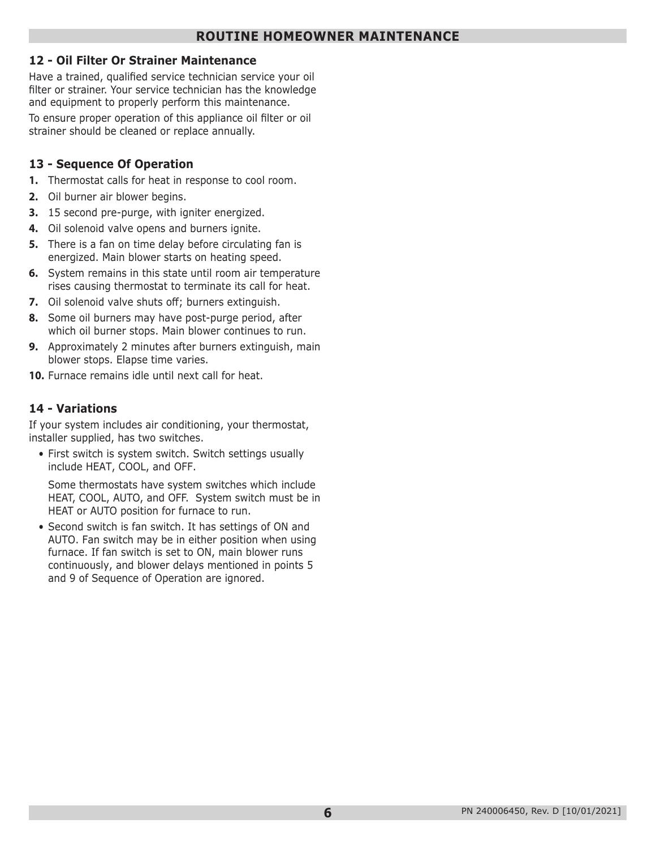#### <span id="page-5-0"></span>**12 - Oil Filter Or Strainer Maintenance**

Have a trained, qualified service technician service your oil filter or strainer. Your service technician has the knowledge and equipment to properly perform this maintenance.

To ensure proper operation of this appliance oil filter or oil strainer should be cleaned or replace annually.

#### **13 - Sequence Of Operation**

- **1.** Thermostat calls for heat in response to cool room.
- **2.** Oil burner air blower begins.
- **3.** 15 second pre-purge, with igniter energized.
- **4.** Oil solenoid valve opens and burners ignite.
- **5.** There is a fan on time delay before circulating fan is energized. Main blower starts on heating speed.
- **6.** System remains in this state until room air temperature rises causing thermostat to terminate its call for heat.
- **7.** Oil solenoid valve shuts off; burners extinguish.
- **8.** Some oil burners may have post-purge period, after which oil burner stops. Main blower continues to run.
- **9.** Approximately 2 minutes after burners extinguish, main blower stops. Elapse time varies.
- **10.** Furnace remains idle until next call for heat.

#### **14 - Variations**

If your system includes air conditioning, your thermostat, installer supplied, has two switches.

• First switch is system switch. Switch settings usually include HEAT, COOL, and OFF.

Some thermostats have system switches which include HEAT, COOL, AUTO, and OFF. System switch must be in HEAT or AUTO position for furnace to run.

• Second switch is fan switch. It has settings of ON and AUTO. Fan switch may be in either position when using furnace. If fan switch is set to ON, main blower runs continuously, and blower delays mentioned in points 5 and 9 of Sequence of Operation are ignored.